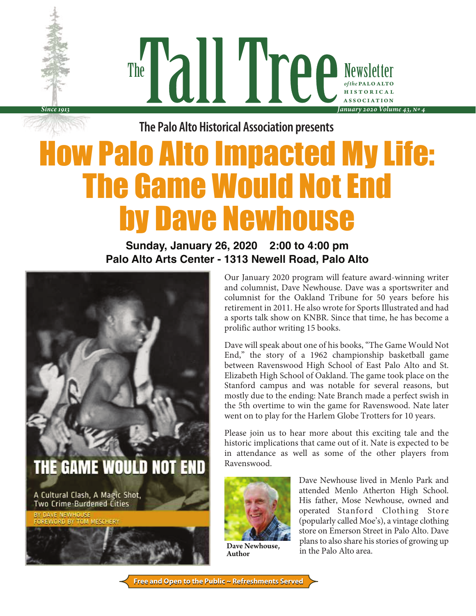Newsletter *of the* PALO ALTO h i s t o r i c a l association The *January 2020 Volume 43, No 4*

**The Palo Alto Historical Association presents**

# How Palo Alto Impacted My Life: The Game Would Not End by Dave Newhouse

## **Sunday, January 26, 2020 2:00 to 4:00 pm Palo Alto Arts Center - 1313 Newell Road, Palo Alto**



A Cultural Clash, A Magic Shot, **Two Crime-Burdened Cities** 

*Since 1913*

Our January 2020 program will feature award-winning writer and columnist, Dave Newhouse. Dave was a sportswriter and columnist for the Oakland Tribune for 50 years before his retirement in 2011. He also wrote for Sports Illustrated and had a sports talk show on KNBR. Since that time, he has become a prolific author writing 15 books.

Dave will speak about one of his books, "The Game Would Not End," the story of a 1962 championship basketball game between Ravenswood High School of East Palo Alto and St. Elizabeth High School of Oakland. The game took place on the Stanford campus and was notable for several reasons, but mostly due to the ending: Nate Branch made a perfect swish in the 5th overtime to win the game for Ravenswood. Nate later went on to play for the Harlem Globe Trotters for 10 years.

Please join us to hear more about this exciting tale and the historic implications that came out of it. Nate is expected to be in attendance as well as some of the other players from Ravenswood.



Dave Newhouse, Author

Dave Newhouse lived in Menlo Park and attended Menlo Atherton High School. His father, Mose Newhouse, owned and operated Stanford Clothing Store (popularly called Moe's), a vintage clothing store on Emerson Street in Palo Alto. Dave plans to also share his stories of growing up in the Palo Alto area.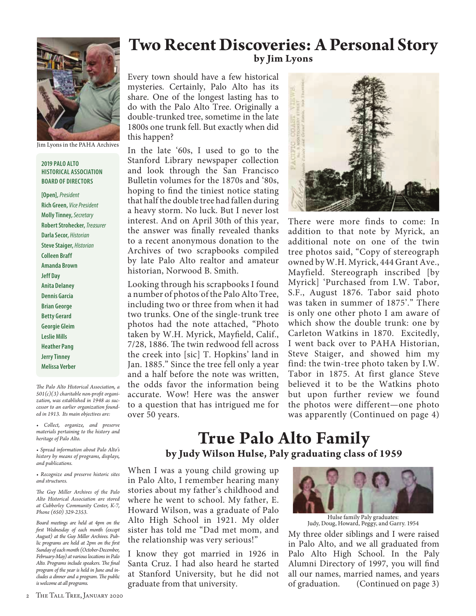

Jim Lyons in the PAHA Archives

#### **2019 PALO ALTO HISTORICAL ASSOCIATION BOARD OF DIRECTORS**

**[Open],** *President*  **Rich Green,** *Vice President* **Molly Tinney,** *Secretary* **Robert Strohecker,** *Treasurer* **Darla Secor,** *Historian* **Steve Staiger,** *Historian* **Colleen Braff Amanda Brown Jeff Day Anita Delaney Dennis Garcia Brian George Betty Gerard Georgie Gleim Leslie Mills Heather Pang Jerry Tinney Melissa Verber**

*The Palo Alto Historical Association, a 501(c)(3) charitable non-profit organization, was established in 1948 as successor to an earlier organization founded in 1913. Its main objectives are:*

*• Collect, organize, and preserve materials pertaining to the history and heritage of Palo Alto.*

*• Spread information about Palo Alto's history by means of programs, displays, and publications.*

*• Recognize and preserve historic sites and structures.*

*The Guy Miller Archives of the Palo Alto Historical Association are stored at Cubberley Community Center, K-7, Phone (650) 329-2353.*

*Board meetings are held at 4pm on the first Wednesday of each month (except August) at the Guy Miller Archives. Public programs are held at 2pm on the first Sunday of each month (October-December, February-May) at various locations in Palo Alto. Programs include speakers. The final program of the year is held in June and includes a dinner and a program. The public is welcome at all programs.*

## **Two Recent Discoveries: A Personal Story by Jim Lyons**

Every town should have a few historical mysteries. Certainly, Palo Alto has its share. One of the longest lasting has to do with the Palo Alto Tree. Originally a double-trunked tree, sometime in the late 1800s one trunk fell. But exactly when did this happen?

In the late '60s, I used to go to the Stanford Library newspaper collection and look through the San Francisco Bulletin volumes for the 1870s and '80s, hoping to find the tiniest notice stating that half the double tree had fallen during a heavy storm. No luck. But I never lost interest. And on April 30th of this year, the answer was finally revealed thanks to a recent anonymous donation to the Archives of two scrapbooks compiled by late Palo Alto realtor and amateur historian, Norwood B. Smith.

Looking through his scrapbooks I found a number of photos of the Palo Alto Tree, including two or three from when it had two trunks. One of the single-trunk tree photos had the note attached, "Photo taken by W.H. Myrick, Mayfield, Calif., 7/28, 1886. The twin redwood fell across the creek into [sic] T. Hopkins' land in Jan. 1885." Since the tree fell only a year and a half before the note was written, the odds favor the information being accurate. Wow! Here was the answer to a question that has intrigued me for over 50 years.



There were more finds to come: In addition to that note by Myrick, an additional note on one of the twin tree photos said, "Copy of stereograph owned by W.H. Myrick, 444 Grant Ave., Mayfield. Stereograph inscribed [by Myrick] 'Purchased from I.W. Tabor, S.F., August 1876. Tabor said photo was taken in summer of 1875'." There is only one other photo I am aware of which show the double trunk: one by Carleton Watkins in 1870. Excitedly, I went back over to PAHA Historian, Steve Staiger, and showed him my find: the twin-tree photo taken by I.W. Tabor in 1875. At first glance Steve believed it to be the Watkins photo but upon further review we found the photos were different—one photo was apparently (Continued on page 4)

# **True Palo Alto Family by Judy Wilson Hulse, Paly graduating class of 1959**

When I was a young child growing up in Palo Alto, I remember hearing many stories about my father's childhood and where he went to school. My father, E. Howard Wilson, was a graduate of Palo Alto High School in 1921. My older sister has told me "Dad met mom, and the relationship was very serious!"

I know they got married in 1926 in Santa Cruz. I had also heard he started at Stanford University, but he did not graduate from that university.



Hulse family Paly graduates: Judy, Doug, Howard, Peggy, and Garry. 1954

My three older siblings and I were raised in Palo Alto, and we all graduated from Palo Alto High School. In the Paly Alumni Directory of 1997, you will find all our names, married names, and years of graduation. (Continued on page 3)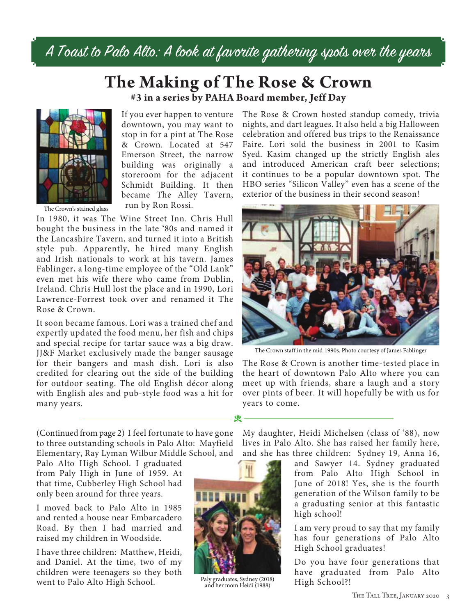A Toast to Palo Alto: A look at favorite gathering spots over the years

# **The Making of The Rose & Crown #3 in a series by PAHA Board member, Jeff Day**



If you ever happen to venture downtown, you may want to stop in for a pint at The Rose & Crown. Located at 547 Emerson Street, the narrow building was originally a storeroom for the adjacent Schmidt Building. It then became The Alley Tavern, run by Ron Rossi.

The Crown's stained glass

In 1980, it was The Wine Street Inn. Chris Hull bought the business in the late '80s and named it the Lancashire Tavern, and turned it into a British style pub. Apparently, he hired many English and Irish nationals to work at his tavern. James Fablinger, a long-time employee of the "Old Lank" even met his wife there who came from Dublin, Ireland. Chris Hull lost the place and in 1990, Lori Lawrence-Forrest took over and renamed it The Rose & Crown.

It soon became famous. Lori was a trained chef and expertly updated the food menu, her fish and chips and special recipe for tartar sauce was a big draw. JJ&F Market exclusively made the banger sausage for their bangers and mash dish. Lori is also credited for clearing out the side of the building for outdoor seating. The old English décor along with English ales and pub-style food was a hit for many years.

The Rose & Crown hosted standup comedy, trivia nights, and dart leagues. It also held a big Halloween celebration and offered bus trips to the Renaissance Faire. Lori sold the business in 2001 to Kasim Syed. Kasim changed up the strictly English ales and introduced American craft beer selections; it continues to be a popular downtown spot. The HBO series "Silicon Valley" even has a scene of the exterior of the business in their second season!



The Crown staff in the mid-1990s. Photo courtesy of James Fablinger

The Rose & Crown is another time-tested place in the heart of downtown Palo Alto where you can meet up with friends, share a laugh and a story over pints of beer. It will hopefully be with us for years to come.

(Continued from page 2) I feel fortunate to have gone to three outstanding schools in Palo Alto: Mayfield Elementary, Ray Lyman Wilbur Middle School, and

Palo Alto High School. I graduated from Paly High in June of 1959. At that time, Cubberley High School had only been around for three years.

I moved back to Palo Alto in 1985 and rented a house near Embarcadero Road. By then I had married and raised my children in Woodside.

I have three children: Matthew, Heidi, and Daniel. At the time, two of my children were teenagers so they both went to Palo Alto High School.



d

Paly graduates, Sydney (2018) and her mom Heidi (1988)

My daughter, Heidi Michelsen (class of '88), now lives in Palo Alto. She has raised her family here, and she has three children: Sydney 19, Anna 16,

and Sawyer 14. Sydney graduated from Palo Alto High School in June of 2018! Yes, she is the fourth generation of the Wilson family to be a graduating senior at this fantastic high school!

I am very proud to say that my family has four generations of Palo Alto High School graduates!

Do you have four generations that have graduated from Palo Alto High School?!